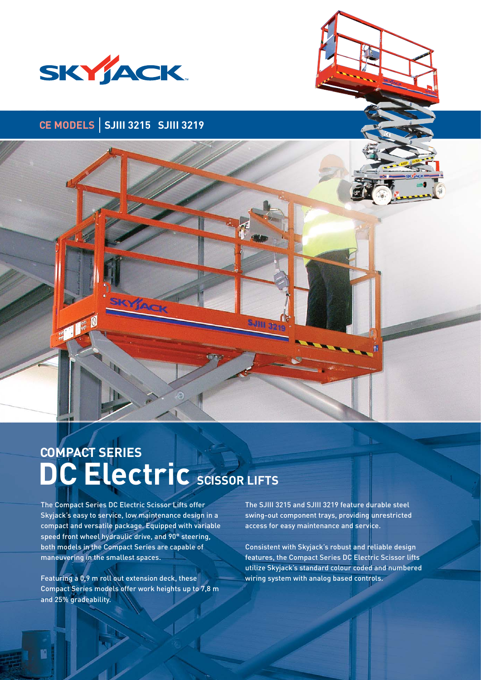

# **CE MODELS SJIII 3215 SJIII 3219**



# **DC Electric SCISSOR LIFTS COMPACT SERIES**

The Compact Series DC Electric Scissor Lifts offer Skyjack's easy to service, low maintenance design in a compact and versatile package. Equipped with variable speed front wheel hydraulic drive, and 90° steering, both models in the Compact Series are capable of maneuvering in the smallest spaces.

Featuring a 0,9 m roll out extension deck, these Compact Series models offer work heights up to 7,8 m and 25% gradeability.

The SJIII 3215 and SJIII 3219 feature durable steel swing-out component trays, providing unrestricted access for easy maintenance and service.

SJM 3

Consistent with Skyjack's robust and reliable design features, the Compact Series DC Electric Scissor lifts utilize Skyjack's standard colour coded and numbered wiring system with analog based controls.

闇